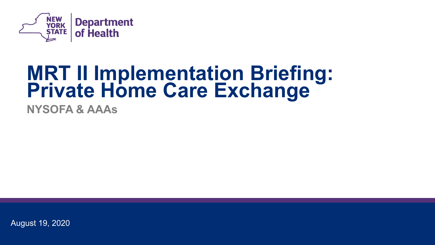

# **MRT II Implementation Briefing: Private Home Care Exchange**

**NYSOFA & AAAs** 

August 19, 2020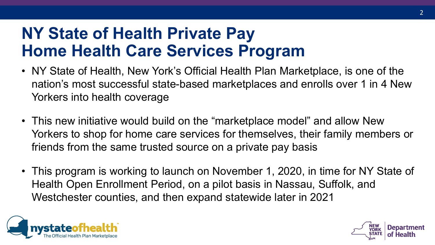### **NY State of Health Private Pay Home Health Care Services Program**

- • NY State of Health, New York's Official Health Plan Marketplace, is one of the nation's most successful state-based marketplaces and enrolls over 1 in 4 New Yorkers into health coverage
- • This new initiative would build on the "marketplace model" and allow New Yorkers to shop for home care services for themselves, their family members or friends from the same trusted source on a private pay basis
- • This program is working to launch on November 1, 2020, in time for NY State of Health Open Enrollment Period, on a pilot basis in Nassau, Suffolk, and Westchester counties, and then expand statewide later in 2021



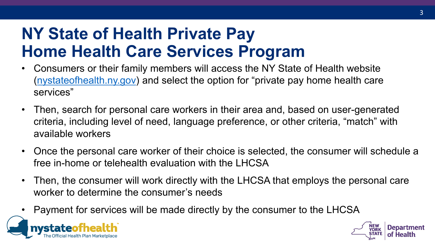## **NY State of Health Private Pay Home Health Care Services Program**

- • Consumers or their family members will access the NY State of Health website ([nystateofhealth.ny.gov](http://www.nystateofhealth.ny.gov/)) and select the option for "private pay home health care services"
- criteria, including level of need, language preference, or other criteria, "match" with • Then, search for personal care workers in their area and, based on user-generated available workers
- • Once the personal care worker of their choice is selected, the consumer will schedule a free in-home or telehealth evaluation with the LHCSA
- Then, the consumer will work directly with the LHCSA that employs the personal care worker to determine the consumer's needs
- Payment for services will be made directly by the consumer to the LHCSA



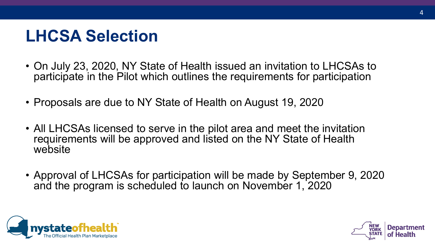## **LHCSA Selection**

- • On July 23, 2020, NY State of Health issued an invitation to LHCSAs to participate in the Pilot which outlines the requirements for participation
- Proposals are due to NY State of Health on August 19, 2020
- • All LHCSAs licensed to serve in the pilot area and meet the invitation requirements will be approved and listed on the NY State of Health website
- • Approval of LHCSAs for participation will be made by September 9, 2020 and the program is scheduled to launch on November 1, 2020